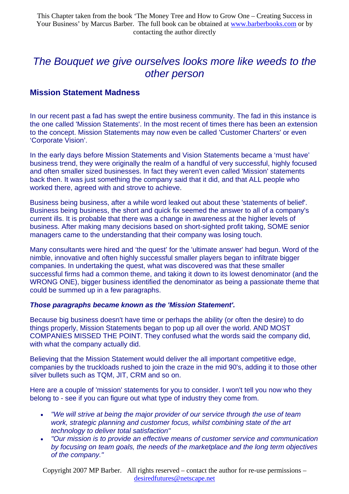# *The Bouquet we give ourselves looks more like weeds to the other person*

## **Mission Statement Madness**

In our recent past a fad has swept the entire business community. The fad in this instance is the one called 'Mission Statements'. In the most recent of times there has been an extension to the concept. Mission Statements may now even be called 'Customer Charters' or even 'Corporate Vision'.

In the early days before Mission Statements and Vision Statements became a 'must have' business trend, they were originally the realm of a handful of very successful, highly focused and often smaller sized businesses. In fact they weren't even called 'Mission' statements back then. It was just something the company said that it did, and that ALL people who worked there, agreed with and strove to achieve.

Business being business, after a while word leaked out about these 'statements of belief'. Business being business, the short and quick fix seemed the answer to all of a company's current ills. It is probable that there was a change in awareness at the higher levels of business. After making many decisions based on short-sighted profit taking, SOME senior managers came to the understanding that their company was losing touch.

Many consultants were hired and 'the quest' for the 'ultimate answer' had begun. Word of the nimble, innovative and often highly successful smaller players began to infiltrate bigger companies. In undertaking the quest, what was discovered was that these smaller successful firms had a common theme, and taking it down to its lowest denominator (and the WRONG ONE), bigger business identified the denominator as being a passionate theme that could be summed up in a few paragraphs.

## *Those paragraphs became known as the 'Mission Statement'.*

Because big business doesn't have time or perhaps the ability (or often the desire) to do things properly, Mission Statements began to pop up all over the world. AND MOST COMPANIES MISSED THE POINT. They confused what the words said the company did, with what the company actually did.

Believing that the Mission Statement would deliver the all important competitive edge, companies by the truckloads rushed to join the craze in the mid 90's, adding it to those other silver bullets such as TQM, JIT, CRM and so on.

Here are a couple of 'mission' statements for you to consider. I won't tell you now who they belong to - see if you can figure out what type of industry they come from.

- *"We will strive at being the major provider of our service through the use of team work, strategic planning and customer focus, whilst combining state of the art technology to deliver total satisfaction"*
- *"Our mission is to provide an effective means of customer service and communication by focusing on team goals, the needs of the marketplace and the long term objectives of the company."*

Copyright 2007 MP Barber. All rights reserved – contact the author for re-use permissions – desiredfutures@netscape.net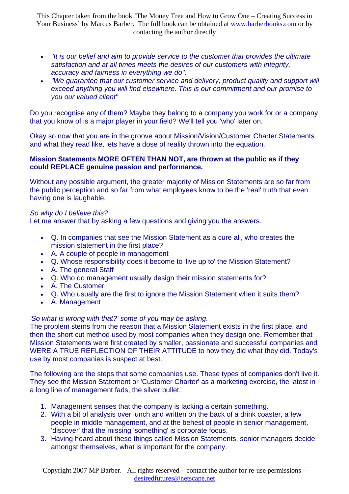- *"It is our belief and aim to provide service to the customer that provides the ultimate satisfaction and at all times meets the desires of our customers with integrity, accuracy and fairness in everything we do".*
- *"We guarantee that our customer service and delivery, product quality and support will exceed anything you will find elsewhere. This is our commitment and our promise to you our valued client"*

Do you recognise any of them? Maybe they belong to a company you work for or a company that you know of is a major player in your field? We'll tell you 'who' later on.

Okay so now that you are in the groove about Mission/Vision/Customer Charter Statements and what they read like, lets have a dose of reality thrown into the equation.

### **Mission Statements MORE OFTEN THAN NOT, are thrown at the public as if they could REPLACE genuine passion and performance.**

Without any possible argument, the greater majority of Mission Statements are so far from the public perception and so far from what employees know to be the 'real' truth that even having one is laughable.

## *So why do I believe this?*

Let me answer that by asking a few questions and giving you the answers.

- Q. In companies that see the Mission Statement as a cure all, who creates the mission statement in the first place?
- A. A couple of people in management
- Q. Whose responsibility does it become to 'live up to' the Mission Statement?
- A. The general Staff
- Q. Who do management usually design their mission statements for?
- A. The Customer
- Q. Who usually are the first to ignore the Mission Statement when it suits them?
- A. Management

## *'So what is wrong with that?' some of you may be asking*.

The problem stems from the reason that a Mission Statement exists in the first place, and then the short cut method used by most companies when they design one. Remember that Mission Statements were first created by smaller, passionate and successful companies and WERE A TRUE REFLECTION OF THEIR ATTITUDE to how they did what they did. Today's use by most companies is suspect at best.

The following are the steps that some companies use. These types of companies don't live it. They see the Mission Statement or 'Customer Charter' as a marketing exercise, the latest in a long line of management fads, the silver bullet.

- 1. Management senses that the company is lacking a certain something.
- 2. With a bit of analysis over lunch and written on the back of a drink coaster, a few people in middle management, and at the behest of people in senior management, 'discover' that the missing 'something' is corporate focus.
- 3. Having heard about these things called Mission Statements, senior managers decide amongst themselves, what is important for the company.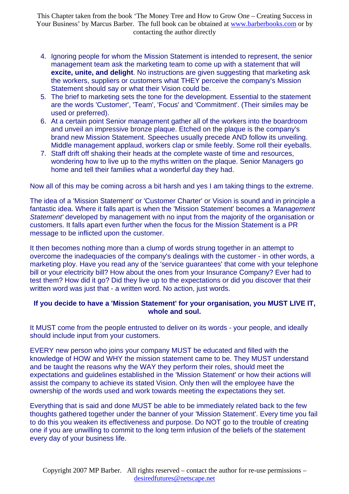- 4. Ignoring people for whom the Mission Statement is intended to represent, the senior management team ask the marketing team to come up with a statement that will **excite, unite, and delight**. No instructions are given suggesting that marketing ask the workers, suppliers or customers what THEY perceive the company's Mission Statement should say or what their Vision could be.
- 5. The brief to marketing sets the tone for the development. Essential to the statement are the words 'Customer', 'Team', 'Focus' and 'Commitment'. (Their similes may be used or preferred).
- 6. At a certain point Senior management gather all of the workers into the boardroom and unveil an impressive bronze plaque. Etched on the plaque is the company's brand new Mission Statement. Speeches usually precede AND follow its unveiling. Middle management applaud, workers clap or smile feebly. Some roll their eyeballs.
- 7. Staff drift off shaking their heads at the complete waste of time and resources, wondering how to live up to the myths written on the plaque. Senior Managers go home and tell their families what a wonderful day they had.

Now all of this may be coming across a bit harsh and yes I am taking things to the extreme.

The idea of a 'Mission Statement' or 'Customer Charter' or Vision is sound and in principle a fantastic idea. Where it falls apart is when the 'Mission Statement' becomes a *'Management Statement'* developed by management with no input from the majority of the organisation or customers. It falls apart even further when the focus for the Mission Statement is a PR message to be inflicted upon the customer.

It then becomes nothing more than a clump of words strung together in an attempt to overcome the inadequacies of the company's dealings with the customer - in other words, a marketing ploy. Have you read any of the 'service guarantees' that come with your telephone bill or your electricity bill? How about the ones from your Insurance Company? Ever had to test them? How did it go? Did they live up to the expectations or did you discover that their written word was just that - a written word. No action, just words.

## **If you decide to have a 'Mission Statement' for your organisation, you MUST LIVE IT, whole and soul.**

It MUST come from the people entrusted to deliver on its words - your people, and ideally should include input from your customers.

EVERY new person who joins your company MUST be educated and filled with the knowledge of HOW and WHY the mission statement came to be. They MUST understand and be taught the reasons why the WAY they perform their roles, should meet the expectations and guidelines established in the 'Mission Statement' or how their actions will assist the company to achieve its stated Vision. Only then will the employee have the ownership of the words used and work towards meeting the expectations they set.

Everything that is said and done MUST be able to be immediately related back to the few thoughts gathered together under the banner of your 'Mission Statement'. Every time you fail to do this you weaken its effectiveness and purpose. Do NOT go to the trouble of creating one if you are unwilling to commit to the long term infusion of the beliefs of the statement every day of your business life.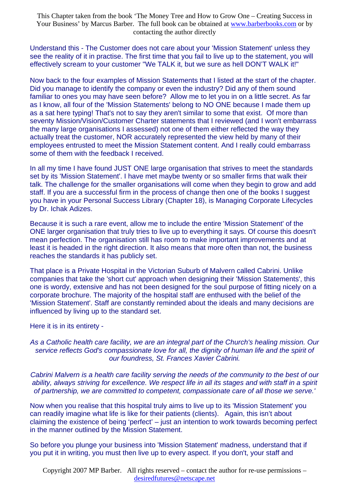Understand this - The Customer does not care about your 'Mission Statement' unless they see the reality of it in practise. The first time that you fail to live up to the statement, you will effectively scream to your customer "We TALK it, but we sure as hell DON'T WALK it!"

Now back to the four examples of Mission Statements that I listed at the start of the chapter. Did you manage to identify the company or even the industry? Did any of them sound familiar to ones you may have seen before? Allow me to let you in on a little secret. As far as I know, all four of the 'Mission Statements' belong to NO ONE because I made them up as a sat here typing! That's not to say they aren't similar to some that exist. Of more than seventy Mission/Vision/Customer Charter statements that I reviewed (and I won't embarrass the many large organisations I assessed) not one of them either reflected the way they actually treat the customer, NOR accurately represented the view held by many of their employees entrusted to meet the Mission Statement content. And I really could embarrass some of them with the feedback I received.

In all my time I have found JUST ONE large organisation that strives to meet the standards set by its 'Mission Statement'. I have met maybe twenty or so smaller firms that walk their talk. The challenge for the smaller organisations will come when they begin to grow and add staff. If you are a successful firm in the process of change then one of the books I suggest you have in your Personal Success Library (Chapter 18), is Managing Corporate Lifecycles by Dr. Ichak Adizes.

Because it is such a rare event, allow me to include the entire 'Mission Statement' of the ONE larger organisation that truly tries to live up to everything it says. Of course this doesn't mean perfection. The organisation still has room to make important improvements and at least it is headed in the right direction. It also means that more often than not, the business reaches the standards it has publicly set.

That place is a Private Hospital in the Victorian Suburb of Malvern called Cabrini. Unlike companies that take the 'short cut' approach when designing their 'Mission Statements', this one is wordy, extensive and has not been designed for the soul purpose of fitting nicely on a corporate brochure. The majority of the hospital staff are enthused with the belief of the 'Mission Statement'. Staff are constantly reminded about the ideals and many decisions are influenced by living up to the standard set.

Here it is in its entirety -

### *As a Catholic health care facility, we are an integral part of the Church's healing mission. Our service reflects God's compassionate love for all, the dignity of human life and the spirit of our foundress, St. Frances Xavier Cabrini.*

*Cabrini Malvern is a health care facility serving the needs of the community to the best of our ability, always striving for excellence. We respect life in all its stages and with staff in a spirit of partnership, we are committed to competent, compassionate care of all those we serve.'*

Now when you realise that this hospital truly aims to live up to its 'Mission Statement' you can readily imagine what life is like for their patients (clients). Again, this isn't about claiming the existence of being 'perfect' – just an intention to work towards becoming perfect in the manner outlined by the Mission Statement.

So before you plunge your business into 'Mission Statement' madness, understand that if you put it in writing, you must then live up to every aspect. If you don't, your staff and